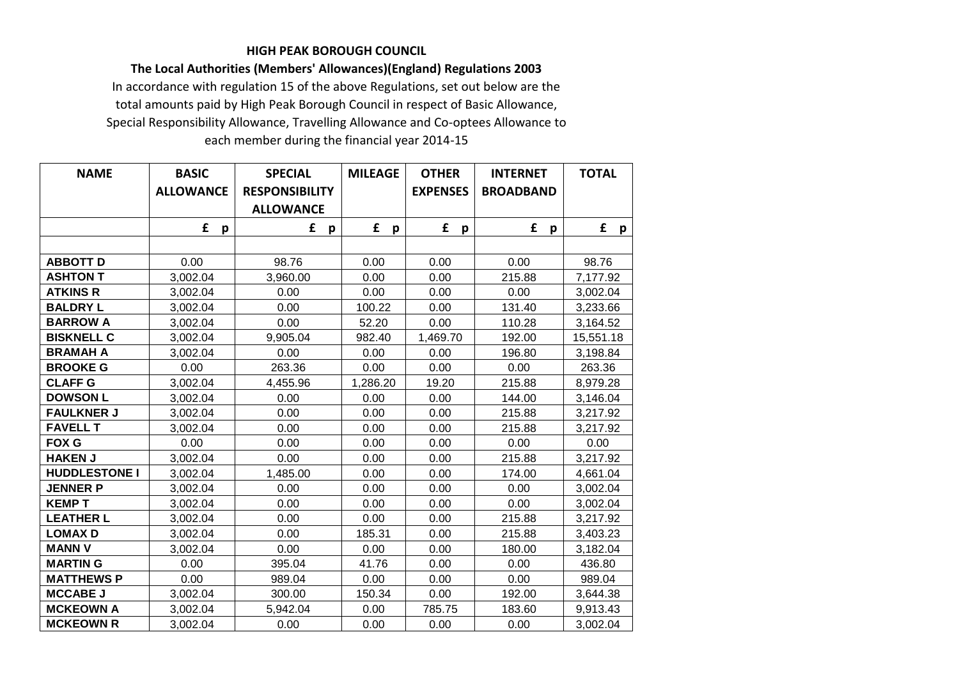## **HIGH PEAK BOROUGH COUNCIL**

## **The Local Authorities (Members' Allowances)(England) Regulations 2003**

In accordance with regulation 15 of the above Regulations, set out below are the total amounts paid by High Peak Borough Council in respect of Basic Allowance, Special Responsibility Allowance, Travelling Allowance and Co-optees Allowance to each member during the financial year 2014-15

| <b>NAME</b>          | <b>BASIC</b>      | <b>SPECIAL</b>        | <b>MILEAGE</b> | <b>OTHER</b>      | <b>INTERNET</b>   | <b>TOTAL</b> |
|----------------------|-------------------|-----------------------|----------------|-------------------|-------------------|--------------|
|                      | <b>ALLOWANCE</b>  | <b>RESPONSIBILITY</b> |                | <b>EXPENSES</b>   | <b>BROADBAND</b>  |              |
|                      |                   | <b>ALLOWANCE</b>      |                |                   |                   |              |
|                      | £<br>$\mathbf{p}$ | £<br>p                | £<br>p         | £<br>$\mathsf{p}$ | £<br>$\mathbf{p}$ | £<br>p       |
|                      |                   |                       |                |                   |                   |              |
| <b>ABBOTT D</b>      | 0.00              | 98.76                 | 0.00           | 0.00              | 0.00              | 98.76        |
| <b>ASHTON T</b>      | 3,002.04          | 3,960.00              | 0.00           | 0.00              | 215.88            | 7,177.92     |
| <b>ATKINS R</b>      | 3,002.04          | 0.00                  | 0.00           | 0.00              | 0.00              | 3,002.04     |
| <b>BALDRY L</b>      | 3,002.04          | 0.00                  | 100.22         | 0.00              | 131.40            | 3,233.66     |
| <b>BARROW A</b>      | 3,002.04          | 0.00                  | 52.20          | 0.00              | 110.28            | 3,164.52     |
| <b>BISKNELL C</b>    | 3,002.04          | 9,905.04              | 982.40         | 1,469.70          | 192.00            | 15,551.18    |
| <b>BRAMAH A</b>      | 3,002.04          | 0.00                  | 0.00           | 0.00              | 196.80            | 3,198.84     |
| <b>BROOKE G</b>      | 0.00              | 263.36                | 0.00           | 0.00              | 0.00              | 263.36       |
| <b>CLAFF G</b>       | 3,002.04          | 4,455.96              | 1,286.20       | 19.20             | 215.88            | 8,979.28     |
| <b>DOWSON L</b>      | 3,002.04          | 0.00                  | 0.00           | 0.00              | 144.00            | 3,146.04     |
| <b>FAULKNER J</b>    | 3,002.04          | 0.00                  | 0.00           | 0.00              | 215.88            | 3,217.92     |
| <b>FAVELL T</b>      | 3,002.04          | 0.00                  | 0.00           | 0.00              | 215.88            | 3,217.92     |
| <b>FOX G</b>         | 0.00              | 0.00                  | 0.00           | 0.00              | 0.00              | 0.00         |
| <b>HAKEN J</b>       | 3,002.04          | 0.00                  | 0.00           | 0.00              | 215.88            | 3,217.92     |
| <b>HUDDLESTONE I</b> | 3,002.04          | 1,485.00              | 0.00           | 0.00              | 174.00            | 4,661.04     |
| <b>JENNER P</b>      | 3,002.04          | 0.00                  | 0.00           | 0.00              | 0.00              | 3,002.04     |
| <b>KEMPT</b>         | 3,002.04          | 0.00                  | 0.00           | 0.00              | 0.00              | 3,002.04     |
| <b>LEATHER L</b>     | 3,002.04          | 0.00                  | 0.00           | 0.00              | 215.88            | 3,217.92     |
| <b>LOMAXD</b>        | 3,002.04          | 0.00                  | 185.31         | 0.00              | 215.88            | 3,403.23     |
| <b>MANN V</b>        | 3,002.04          | 0.00                  | 0.00           | 0.00              | 180.00            | 3,182.04     |
| <b>MARTING</b>       | 0.00              | 395.04                | 41.76          | 0.00              | 0.00              | 436.80       |
| <b>MATTHEWS P</b>    | 0.00              | 989.04                | 0.00           | 0.00              | 0.00              | 989.04       |
| <b>MCCABE J</b>      | 3,002.04          | 300.00                | 150.34         | 0.00              | 192.00            | 3,644.38     |
| <b>MCKEOWN A</b>     | 3,002.04          | 5,942.04              | 0.00           | 785.75            | 183.60            | 9,913.43     |
| <b>MCKEOWN R</b>     | 3,002.04          | 0.00                  | 0.00           | 0.00              | 0.00              | 3,002.04     |